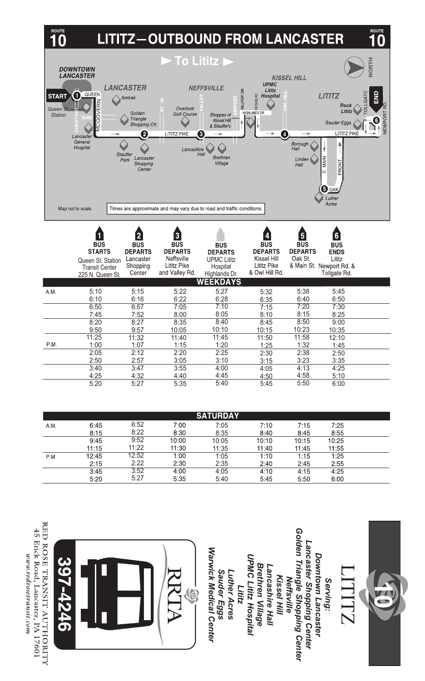

| <b>SATURDAY</b> |       |       |       |       |       |       |       |  |  |  |
|-----------------|-------|-------|-------|-------|-------|-------|-------|--|--|--|
| A.M.            | 6:45  | 6:52  | 7:00  | 7:05  | 7:10  | 7:15  | 7:25  |  |  |  |
|                 | 8:15  | 8:22  | 8:30  | 8:35  | 8:40  | 8:45  | 8:55  |  |  |  |
|                 | 9:45  | 9:52  | 10:00 | 10:05 | 10:10 | 10:15 | 10:25 |  |  |  |
|                 | 11:15 | 11:22 | 11:30 | 11:35 | 11:40 | 11:45 | 11:55 |  |  |  |
| P.M             | 12:45 | 12:52 | 1:00  | 1:05  | 1:10  | 1:15  | 1:25  |  |  |  |
|                 | 2:15  | 2:22  | 2:30  | 2:35  | 2:40  | 2:45  | 2:55  |  |  |  |
|                 | 3:45  | 3:52  | 4:00  | 4:05  | 4:10  | 4:15  | 4:25  |  |  |  |
|                 | 5:20  | 5:27  | 5:35  | 5:40  | 5:45  | 5:50  | 6:00  |  |  |  |

8:40 10:10 11:45 1:20 2:25 3:10 4:00  $4.45$ 5:40

8:45 10:15 11:50 1:25 2:30 3:15 4:05 4:50 5:45

8:50 10:23 11:58 1:32 2:38 3:23 4:13 4:58 5:50

9:00 10:35 12:10 1:45 2:50 3:35 4:25 5:10 6:00

8:20 9:50 11:25 1:00 2:05 2:50  $3:40$ 4:25 5:20

P.M.

8:27 9:57 11:32 1:07 2:12 2:57  $3:47$ 4:32 5:27

8:35 10:05 11:40 1:15 2:20 3:05  $3:55$ 4:40 5:35